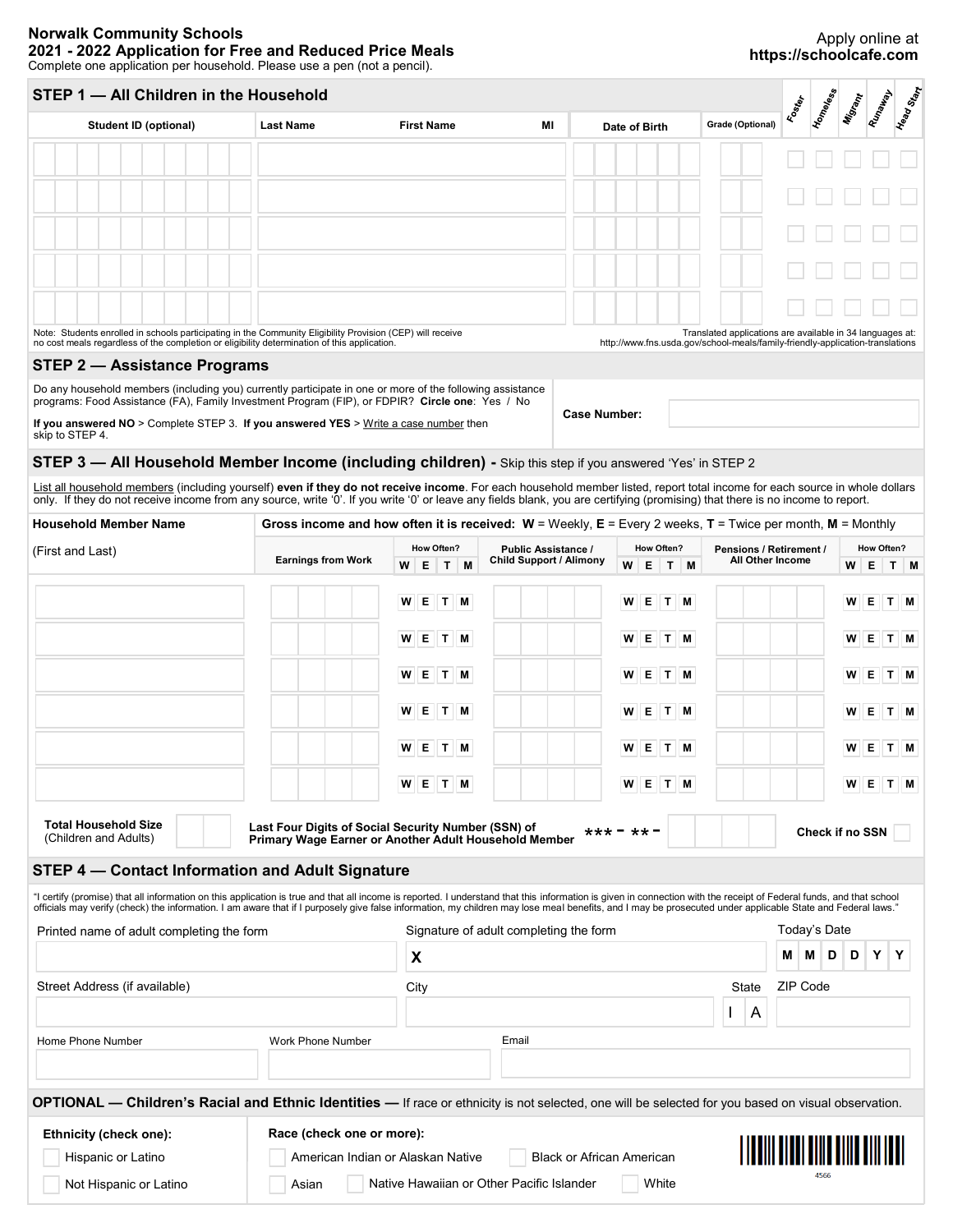# **Norwalk Community Schools 2021 - 2022 Application for Free and Reduced Price Meals**

## Apply online at **https://schoolcafe.com**

Complete one application per household. Please use a pen (not a pencil).

# **STEP 1 — All Children in the Household**

| Complete one application per household. Please use a pen (not a pencil).                                                                                                                                                                                                                                                                                    |                                                                                                              |                            |                                                              |                 |                                                                                                               | poooooo                                                                                                                                    |
|-------------------------------------------------------------------------------------------------------------------------------------------------------------------------------------------------------------------------------------------------------------------------------------------------------------------------------------------------------------|--------------------------------------------------------------------------------------------------------------|----------------------------|--------------------------------------------------------------|-----------------|---------------------------------------------------------------------------------------------------------------|--------------------------------------------------------------------------------------------------------------------------------------------|
| STEP 1 - All Children in the Household                                                                                                                                                                                                                                                                                                                      |                                                                                                              |                            |                                                              |                 |                                                                                                               | Head Start<br>Homeless<br>Runaway<br>Misrant<br><b>Food</b>                                                                                |
| <b>Student ID (optional)</b>                                                                                                                                                                                                                                                                                                                                | <b>Last Name</b>                                                                                             | <b>First Name</b>          | MI                                                           | Date of Birth   | Grade (Optional)                                                                                              |                                                                                                                                            |
|                                                                                                                                                                                                                                                                                                                                                             |                                                                                                              |                            |                                                              |                 |                                                                                                               |                                                                                                                                            |
|                                                                                                                                                                                                                                                                                                                                                             |                                                                                                              |                            |                                                              |                 |                                                                                                               |                                                                                                                                            |
|                                                                                                                                                                                                                                                                                                                                                             |                                                                                                              |                            |                                                              |                 |                                                                                                               |                                                                                                                                            |
|                                                                                                                                                                                                                                                                                                                                                             |                                                                                                              |                            |                                                              |                 |                                                                                                               |                                                                                                                                            |
|                                                                                                                                                                                                                                                                                                                                                             |                                                                                                              |                            |                                                              |                 |                                                                                                               |                                                                                                                                            |
| Note: Students enrolled in schools participating in the Community Eligibility Provision (CEP) will receive<br>no cost meals regardless of the completion or eligibility determination of this application.                                                                                                                                                  |                                                                                                              |                            |                                                              |                 |                                                                                                               | Translated applications are available in 34 languages at:<br>http://www.fns.usda.gov/school-meals/family-friendly-application-translations |
| <b>STEP 2 - Assistance Programs</b>                                                                                                                                                                                                                                                                                                                         |                                                                                                              |                            |                                                              |                 |                                                                                                               |                                                                                                                                            |
| Do any household members (including you) currently participate in one or more of the following assistance                                                                                                                                                                                                                                                   |                                                                                                              |                            |                                                              |                 |                                                                                                               |                                                                                                                                            |
| programs: Food Assistance (FA), Family Investment Program (FIP), or FDPIR? Circle one: Yes / No<br>If you answered $NO >$ Complete STEP 3. If you answered YES $>$ Write a case number then                                                                                                                                                                 |                                                                                                              |                            | <b>Case Number:</b>                                          |                 |                                                                                                               |                                                                                                                                            |
| skip to STEP 4.                                                                                                                                                                                                                                                                                                                                             |                                                                                                              |                            |                                                              |                 |                                                                                                               |                                                                                                                                            |
| STEP 3 - All Household Member Income (including children) - Skip this step if you answered 'Yes' in STEP 2                                                                                                                                                                                                                                                  |                                                                                                              |                            |                                                              |                 |                                                                                                               |                                                                                                                                            |
| List all household members (including yourself) even if they do not receive income. For each household member listed, report total income for each source in whole dollars<br>only. If they do not receive income from any source, write '0'. If you write '0' or leave any fields blank, you are certifying (promising) that there is no income to report. |                                                                                                              |                            |                                                              |                 |                                                                                                               |                                                                                                                                            |
| <b>Household Member Name</b>                                                                                                                                                                                                                                                                                                                                |                                                                                                              |                            |                                                              |                 |                                                                                                               | Gross income and how often it is received: $W =$ Weekly, $E =$ Every 2 weeks, $T =$ Twice per month, $M =$ Monthly                         |
| (First and Last)                                                                                                                                                                                                                                                                                                                                            | <b>Earnings from Work</b>                                                                                    | How Often?<br>WE<br>T<br>M | <b>Public Assistance /</b><br><b>Child Support / Alimony</b> |                 | <b>How Often?</b><br>Pensions / Retirement /<br><b>How Often?</b><br>All Other Income<br>W<br>Е<br>T M<br>W E |                                                                                                                                            |
|                                                                                                                                                                                                                                                                                                                                                             |                                                                                                              | W E T M                    |                                                              | W E T M         |                                                                                                               | WE<br>T M                                                                                                                                  |
|                                                                                                                                                                                                                                                                                                                                                             |                                                                                                              | W E T M                    |                                                              | $E$ T M<br>W    |                                                                                                               | <b>WE</b><br>T M                                                                                                                           |
|                                                                                                                                                                                                                                                                                                                                                             |                                                                                                              | W E T M                    |                                                              | E T M<br>W      |                                                                                                               | W E<br>T M                                                                                                                                 |
|                                                                                                                                                                                                                                                                                                                                                             |                                                                                                              | W E T M                    |                                                              | W E T M         |                                                                                                               | WE<br>T M                                                                                                                                  |
|                                                                                                                                                                                                                                                                                                                                                             |                                                                                                              |                            |                                                              |                 |                                                                                                               |                                                                                                                                            |
|                                                                                                                                                                                                                                                                                                                                                             |                                                                                                              | W E T M                    |                                                              | WETM            |                                                                                                               | W E T M                                                                                                                                    |
|                                                                                                                                                                                                                                                                                                                                                             |                                                                                                              | W E T M                    |                                                              | $W$ $E$ $T$ $M$ |                                                                                                               | W E<br>T M                                                                                                                                 |
| <b>Total Household Size</b><br>(Children and Adults)                                                                                                                                                                                                                                                                                                        | Last Four Digits of Social Security Number (SSN) of<br>Primary Wage Earner or Another Adult Household Member |                            |                                                              | *** = ** =      |                                                                                                               | Check if no SSN                                                                                                                            |
|                                                                                                                                                                                                                                                                                                                                                             |                                                                                                              |                            |                                                              |                 |                                                                                                               |                                                                                                                                            |
| STEP 4 - Contact Information and Adult Signature                                                                                                                                                                                                                                                                                                            |                                                                                                              |                            |                                                              |                 |                                                                                                               |                                                                                                                                            |
| "I certify (promise) that all information on this application is true and that all income is reported. I understand that this information is given in connection with the receipt of Federal funds, and that school                                                                                                                                         |                                                                                                              |                            |                                                              |                 |                                                                                                               |                                                                                                                                            |
|                                                                                                                                                                                                                                                                                                                                                             |                                                                                                              |                            | Signature of adult completing the form                       |                 |                                                                                                               | Today's Date                                                                                                                               |
|                                                                                                                                                                                                                                                                                                                                                             |                                                                                                              | X                          |                                                              |                 |                                                                                                               | D<br>D<br>Y<br>Y<br>M<br>M.                                                                                                                |
|                                                                                                                                                                                                                                                                                                                                                             |                                                                                                              |                            |                                                              |                 |                                                                                                               |                                                                                                                                            |
|                                                                                                                                                                                                                                                                                                                                                             |                                                                                                              | City                       |                                                              |                 | State                                                                                                         | ZIP Code                                                                                                                                   |
| officials may verify (check) the information. I am aware that if I purposely give false information, my children may lose meal benefits, and I may be prosecuted under applicable State and Federal laws."<br>Printed name of adult completing the form<br>Street Address (if available)<br>Home Phone Number                                               | Work Phone Number                                                                                            |                            | Email                                                        |                 | A                                                                                                             |                                                                                                                                            |

**OPTIONAL — Children's Racial and Ethnic Identities —** If race or ethnicity is not selected, one will be selected for you based on visual observation.

#### **Ethnicity (check one): Race (check one or more):** Hispanic or Latino American Indian or Alaskan Native Black or African American

Not Hispanic or Latino



Asian

Native Hawaiian or Other Pacific Islander | White